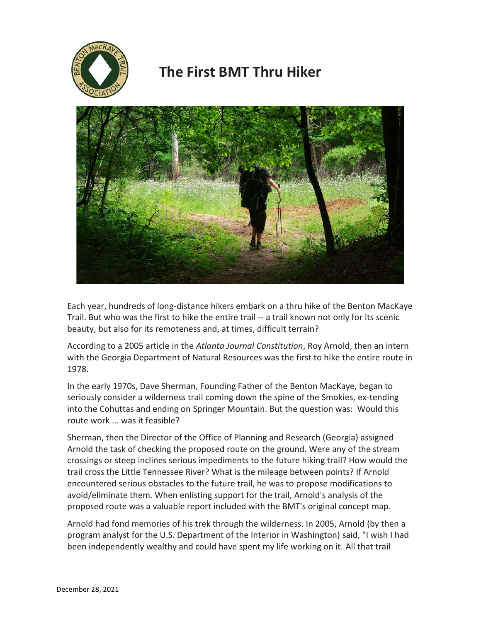

## **The First BMT Thru Hiker**



Each year, hundreds of long-distance hikers embark on a thru hike of the Benton MacKaye Trail. But who was the first to hike the entire trail -- a trail known not only for its scenic beauty, but also for its remoteness and, at times, difficult terrain?

According to a 2005 article in the *Atlanta Journal Constitution*, Roy Arnold, then an intern with the Georgia Department of Natural Resources was the first to hike the entire route in 1978.

In the early 1970s, Dave Sherman, Founding Father of the Benton MacKaye, began to seriously consider a wilderness trail coming down the spine of the Smokies, ex-tending into the Cohuttas and ending on Springer Mountain. But the question was: Would this route work ... was it feasible?

Sherman, then the Director of the Office of Planning and Research (Georgia) assigned Arnold the task of checking the proposed route on the ground. Were any of the stream crossings or steep inclines serious impediments to the future hiking trail? How would the trail cross the Little Tennessee River? What is the mileage between points? If Arnold encountered serious obstacles to the future trail, he was to propose modifications to avoid/eliminate them. When enlisting support for the trail, Arnold's analysis of the proposed route was a valuable report included with the BMT's original concept map.

Arnold had fond memories of his trek through the wilderness. In 2005, Arnold (by then a program analyst for the U.S. Department of the Interior in Washington) said, "I wish I had been independently wealthy and could have spent my life working on it. All that trail